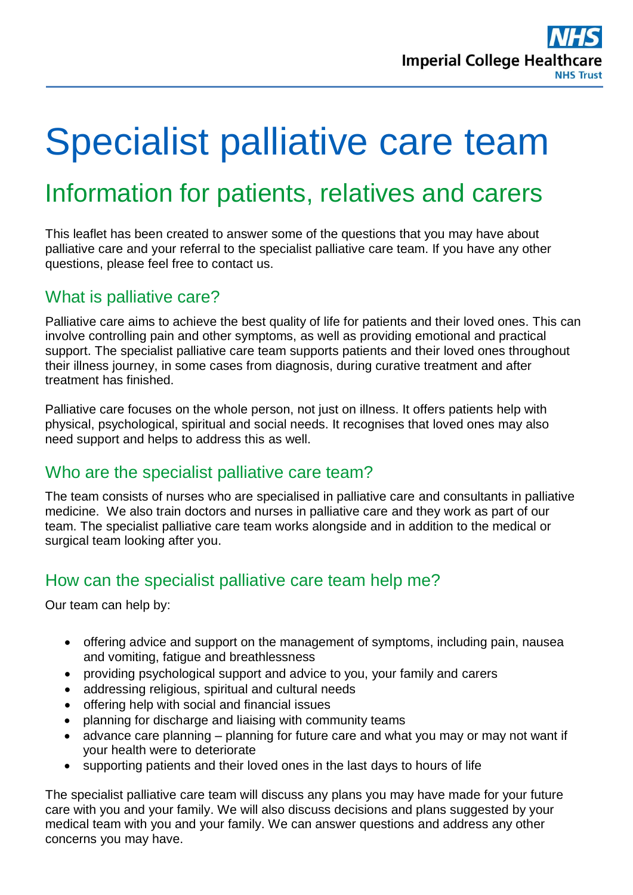

# Specialist palliative care team

## Information for patients, relatives and carers

This leaflet has been created to answer some of the questions that you may have about palliative care and your referral to the specialist palliative care team. If you have any other questions, please feel free to contact us.

#### What is palliative care?

Palliative care aims to achieve the best quality of life for patients and their loved ones. This can involve controlling pain and other symptoms, as well as providing emotional and practical support. The specialist palliative care team supports patients and their loved ones throughout their illness journey, in some cases from diagnosis, during curative treatment and after treatment has finished.

Palliative care focuses on the whole person, not just on illness. It offers patients help with physical, psychological, spiritual and social needs. It recognises that loved ones may also need support and helps to address this as well.

#### Who are the specialist palliative care team?

The team consists of nurses who are specialised in palliative care and consultants in palliative medicine. We also train doctors and nurses in palliative care and they work as part of our team. The specialist palliative care team works alongside and in addition to the medical or surgical team looking after you.

#### How can the specialist palliative care team help me?

Our team can help by:

- offering advice and support on the management of symptoms, including pain, nausea and vomiting, fatigue and breathlessness
- providing psychological support and advice to you, your family and carers
- addressing religious, spiritual and cultural needs
- offering help with social and financial issues
- planning for discharge and liaising with community teams
- advance care planning planning for future care and what you may or may not want if your health were to deteriorate
- supporting patients and their loved ones in the last days to hours of life

The specialist palliative care team will discuss any plans you may have made for your future care with you and your family. We will also discuss decisions and plans suggested by your medical team with you and your family. We can answer questions and address any other concerns you may have.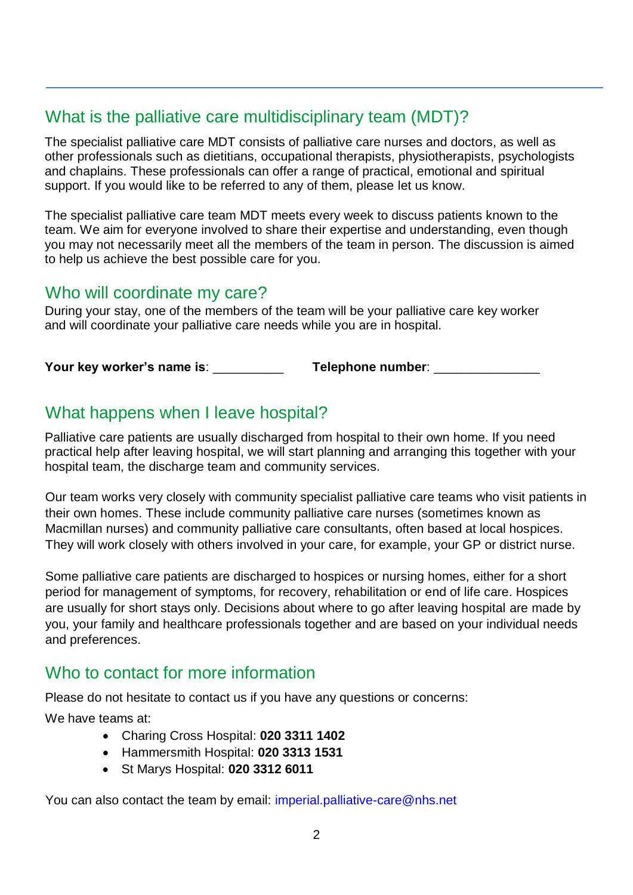#### What is the palliative care multidisciplinary team (MDT)?

The specialist palliative care MDT consists of palliative care nurses and doctors, as well as other professionals such as dietitians, occupational therapists, physiotherapists, psychologists and chaplains. These professionals can offer a range of practical, emotional and spiritual support. If you would like to be referred to any of them, please let us know.

The specialist palliative care team MDT meets every week to discuss patients known to the team. We aim for everyone involved to share their expertise and understanding, even though you may not necessarily meet all the members of the team in person. The discussion is aimed to help us achieve the best possible care for you.

#### Who will coordinate my care?

During your stay, one of the members of the team will be your palliative care key worker and will coordinate your palliative care needs while you are in hospital.

**Your key worker's name is: Telephone number:**  $\blacksquare$ 

#### What happens when I leave hospital?

Palliative care patients are usually discharged from hospital to their own home. If you need practical help after leaving hospital, we will start planning and arranging this together with your hospital team, the discharge team and community services.

Our team works very closely with community specialist palliative care teams who visit patients in their own homes. These include community palliative care nurses (sometimes known as Macmillan nurses) and community palliative care consultants, often based at local hospices. They will work closely with others involved in your care, for example, your GP or district nurse.

Some palliative care patients are discharged to hospices or nursing homes, either for a short period for management of symptoms, for recovery, rehabilitation or end of life care. Hospices are usually for short stays only. Decisions about where to go after leaving hospital are made by you, your family and healthcare professionals together and are based on your individual needs and preferences.

#### Who to contact for more information

Please do not hesitate to contact us if you have any questions or concerns:

We have teams at:

- Charing Cross Hospital: **020 3311 1402**
- Hammersmith Hospital: **020 3313 1531**
- St Marys Hospital: **020 3312 6011**

You can also contact the team by email: [imperial.palliative-care@nhs.net](mailto:imperial.palliative-care@nhs.net)